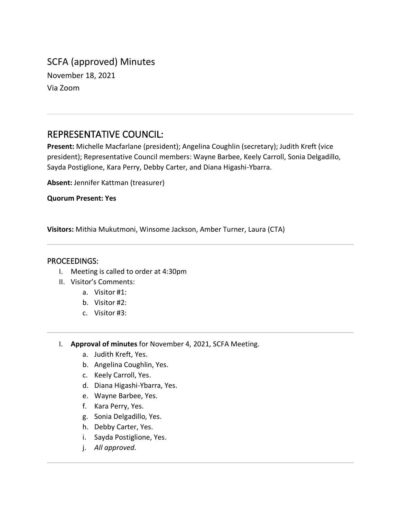# SCFA (approved) Minutes November 18, 2021 Via Zoom

# REPRESENTATIVE COUNCIL:

**Present:** Michelle Macfarlane (president); Angelina Coughlin (secretary); Judith Kreft (vice president); Representative Council members: Wayne Barbee, Keely Carroll, Sonia Delgadillo, Sayda Postiglione, Kara Perry, Debby Carter, and Diana Higashi-Ybarra.

**Absent:** Jennifer Kattman (treasurer)

**Quorum Present: Yes**

**Visitors:** Mithia Mukutmoni, Winsome Jackson, Amber Turner, Laura (CTA)

#### PROCEEDINGS:

- I. Meeting is called to order at 4:30pm
- II. Visitor's Comments:
	- a. Visitor #1:
	- b. Visitor #2:
	- c. Visitor #3:
- I. **Approval of minutes** for November 4, 2021, SCFA Meeting.
	- a. Judith Kreft, Yes.
	- b. Angelina Coughlin, Yes.
	- c. Keely Carroll, Yes.
	- d. Diana Higashi-Ybarra, Yes.
	- e. Wayne Barbee, Yes.
	- f. Kara Perry, Yes.
	- g. Sonia Delgadillo, Yes.
	- h. Debby Carter, Yes.
	- i. Sayda Postiglione, Yes.
	- j. *All approved.*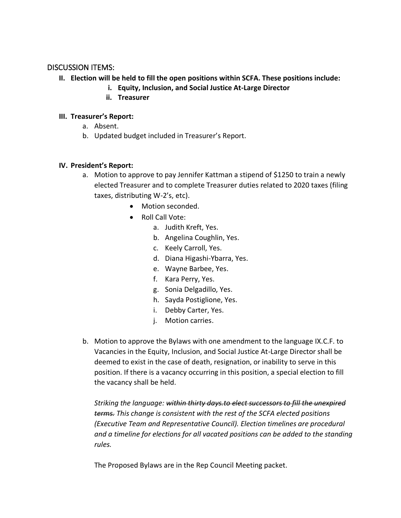## DISCUSSION ITEMS:

- **II. Election will be held to fill the open positions within SCFA. These positions include:**
	- **i. Equity, Inclusion, and Social Justice At-Large Director**
	- **ii. Treasurer**

#### **III. Treasurer's Report:**

- a. Absent.
- b. Updated budget included in Treasurer's Report.

#### **IV. President's Report:**

- a. Motion to approve to pay Jennifer Kattman a stipend of \$1250 to train a newly elected Treasurer and to complete Treasurer duties related to 2020 taxes (filing taxes, distributing W-2's, etc).
	- Motion seconded.
	- Roll Call Vote:
		- a. Judith Kreft, Yes.
		- b. Angelina Coughlin, Yes.
		- c. Keely Carroll, Yes.
		- d. Diana Higashi-Ybarra, Yes.
		- e. Wayne Barbee, Yes.
		- f. Kara Perry, Yes.
		- g. Sonia Delgadillo, Yes.
		- h. Sayda Postiglione, Yes.
		- i. Debby Carter, Yes.
		- j. Motion carries.
- b. Motion to approve the Bylaws with one amendment to the language IX.C.F. to Vacancies in the Equity, Inclusion, and Social Justice At-Large Director shall be deemed to exist in the case of death, resignation, or inability to serve in this position. If there is a vacancy occurring in this position, a special election to fill the vacancy shall be held.

*Striking the language: within thirty days.to elect successors to fill the unexpired terms. This change is consistent with the rest of the SCFA elected positions (Executive Team and Representative Council). Election timelines are procedural and a timeline for elections for all vacated positions can be added to the standing rules.* 

The Proposed Bylaws are in the Rep Council Meeting packet.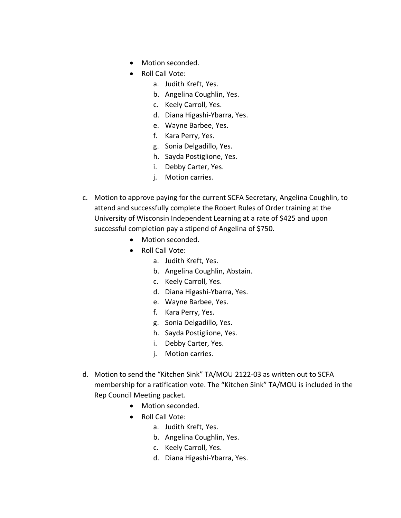- Motion seconded.
- Roll Call Vote:
	- a. Judith Kreft, Yes.
	- b. Angelina Coughlin, Yes.
	- c. Keely Carroll, Yes.
	- d. Diana Higashi-Ybarra, Yes.
	- e. Wayne Barbee, Yes.
	- f. Kara Perry, Yes.
	- g. Sonia Delgadillo, Yes.
	- h. Sayda Postiglione, Yes.
	- i. Debby Carter, Yes.
	- j. Motion carries.
- c. Motion to approve paying for the current SCFA Secretary, Angelina Coughlin, to attend and successfully complete the Robert Rules of Order training at the University of Wisconsin Independent Learning at a rate of \$425 and upon successful completion pay a stipend of Angelina of \$750.
	- Motion seconded.
	- Roll Call Vote:
		- a. Judith Kreft, Yes.
		- b. Angelina Coughlin, Abstain.
		- c. Keely Carroll, Yes.
		- d. Diana Higashi-Ybarra, Yes.
		- e. Wayne Barbee, Yes.
		- f. Kara Perry, Yes.
		- g. Sonia Delgadillo, Yes.
		- h. Sayda Postiglione, Yes.
		- i. Debby Carter, Yes.
		- j. Motion carries.
- d. Motion to send the "Kitchen Sink" TA/MOU 2122-03 as written out to SCFA membership for a ratification vote. The "Kitchen Sink" TA/MOU is included in the Rep Council Meeting packet.
	- Motion seconded.
	- Roll Call Vote:
		- a. Judith Kreft, Yes.
		- b. Angelina Coughlin, Yes.
		- c. Keely Carroll, Yes.
		- d. Diana Higashi-Ybarra, Yes.